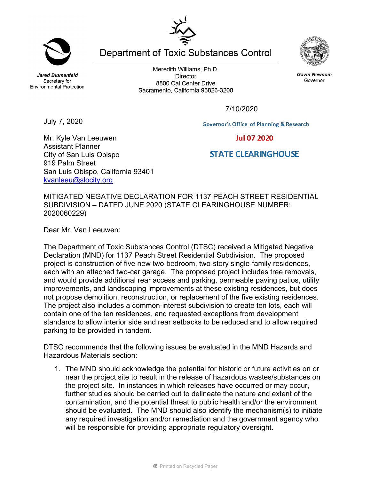**Jared Blumenfeld** Secretary for **Environmental Protection** 

Meredith Williams, Ph.D. **Director** 8800 Cal Center Drive Sacramento, California 95826-3200

7/10/2020

July 7, 2020

Mr. Kyle Van Leeuwen Assistant Planner

City of San Luis Obispo

[kvanleeu@slocity.org](mailto:kvanleeu@slocity.org) 

San Luis Obispo, California 93401

919 Palm Street

MITIGATED NEGATIVE DECLARATION FOR 1137 PEACH STREET RESIDENTIAL SUBDIVISION – DATED JUNE 2020 (STATE CLEARINGHOUSE NUMBER: 2020060229)

Dear Mr. Van Leeuwen:

The Department of Toxic Substances Control (DTSC) received a Mitigated Negative Declaration (MND) for 1137 Peach Street Residential Subdivision. The proposed project is construction of five new two-bedroom, two-story single-family residences, each with an attached two-car garage. The proposed project includes tree removals, and would provide additional rear access and parking, permeable paving patios, utility improvements, and landscaping improvements at these existing residences, but does not propose demolition, reconstruction, or replacement of the five existing residences. The project also includes a common-interest subdivision to create ten lots, each will contain one of the ten residences, and requested exceptions from development standards to allow interior side and rear setbacks to be reduced and to allow required parking to be provided in tandem.

DTSC recommends that the following issues be evaluated in the MND Hazards and Hazardous Materials section:

1. The MND should acknowledge the potential for historic or future activities on or near the project site to result in the release of hazardous wastes/substances on the project site. In instances in which releases have occurred or may occur, further studies should be carried out to delineate the nature and extent of the contamination, and the potential threat to public health and/or the environment should be evaluated. The MND should also identify the mechanism(s) to initiate any required investigation and/or remediation and the government agency who will be responsible for providing appropriate regulatory oversight.

**Department of Toxic Substances Control** 





**Gavin Newsom** 

Governor

**Governor's Office of Planning & Research Jul 07 2020** 

## **STATE CLEARINGHOUSE**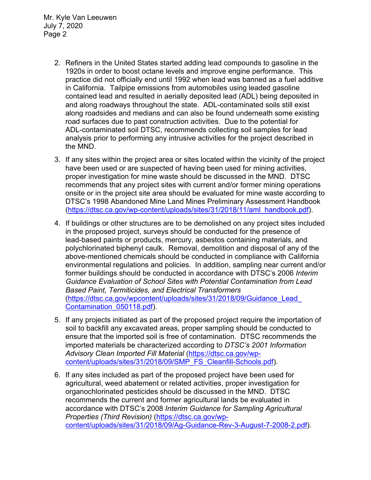Mr. Kyle Van Leeuwen July 7, 2020 Page 2

- 2. Refiners in the United States started adding lead compounds to gasoline in the 1920s in order to boost octane levels and improve engine performance. This practice did not officially end until 1992 when lead was banned as a fuel additive in California. Tailpipe emissions from automobiles using leaded gasoline contained lead and resulted in aerially deposited lead (ADL) being deposited in and along roadways throughout the state. ADL-contaminated soils still exist along roadsides and medians and can also be found underneath some existing road surfaces due to past construction activities. Due to the potential for ADL-contaminated soil DTSC, recommends collecting soil samples for lead analysis prior to performing any intrusive activities for the project described in the MND.
- 3. If any sites within the project area or sites located within the vicinity of the project have been used or are suspected of having been used for mining activities, proper investigation for mine waste should be discussed in the MND. DTSC recommends that any project sites with current and/or former mining operations onsite or in the project site area should be evaluated for mine waste according to DTSC's 1998 Abandoned Mine Land Mines Preliminary Assessment Handbook [\(https://dtsc.ca.gov/wp-content/uploads/sites/31/2018/11/aml\\_handbook.pdf\)](https://dtsc.ca.gov/wp-content/uploads/sites/31/2018/11/aml_handbook.pdf).
- 4. If buildings or other structures are to be demolished on any project sites included in the proposed project, surveys should be conducted for the presence of lead-based paints or products, mercury, asbestos containing materials, and polychlorinated biphenyl caulk. Removal, demolition and disposal of any of the above-mentioned chemicals should be conducted in compliance with California environmental regulations and policies. In addition, sampling near current and/or former buildings should be conducted in accordance with DTSC's 2006 *Interim Guidance Evaluation of School Sites with Potential Contamination from Lead Based Paint, Termiticides, and Electrical Transformers* [\(https://dtsc.ca.gov/wpcontent/uploads/sites/31/2018/09/Guidance\\_Lead\\_](https://gcc02.safelinks.protection.outlook.com/?url=https%3A%2F%2Fdtsc.ca.gov%2Fwp-content%2Fuploads%2Fsites%2F31%2F2018%2F09%2FGuidance_Lead_Contamination_050118.pdf&data=02%7C01%7C%7C5d5d271a38734f176ff008d74b61ecfd%7C3f4ffbf4c7604c2abab8c63ef4bd2439%7C0%7C0%7C637060756261296590&sdata=1JGWitJI6nMkU%2FVDzi0GYiam5nl8DLJhkRmLCticfdA%3D&reserved=0)  [Contamination\\_050118.pdf\)](https://gcc02.safelinks.protection.outlook.com/?url=https%3A%2F%2Fdtsc.ca.gov%2Fwp-content%2Fuploads%2Fsites%2F31%2F2018%2F09%2FGuidance_Lead_Contamination_050118.pdf&data=02%7C01%7C%7C5d5d271a38734f176ff008d74b61ecfd%7C3f4ffbf4c7604c2abab8c63ef4bd2439%7C0%7C0%7C637060756261296590&sdata=1JGWitJI6nMkU%2FVDzi0GYiam5nl8DLJhkRmLCticfdA%3D&reserved=0).
- 5. If any projects initiated as part of the proposed project require the importation of soil to backfill any excavated areas, proper sampling should be conducted to ensure that the imported soil is free of contamination. DTSC recommends the imported materials be characterized according to *DTSC's 2001 Information Advisory Clean Imported Fill Material* [\(https://dtsc.ca.gov/wp](https://dtsc.ca.gov/wp-content/uploads/sites/31/2018/09/SMP_FS_Cleanfill-Schools.pdf)[content/uploads/sites/31/2018/09/SMP\\_FS\\_Cleanfill-Schools.pdf\)](https://dtsc.ca.gov/wp-content/uploads/sites/31/2018/09/SMP_FS_Cleanfill-Schools.pdf).
- 6. If any sites included as part of the proposed project have been used for agricultural, weed abatement or related activities, proper investigation for organochlorinated pesticides should be discussed in the MND. DTSC recommends the current and former agricultural lands be evaluated in accordance with DTSC's 2008 *Interim Guidance for Sampling Agricultural Properties (Third Revision)* [\(https://dtsc.ca.gov/wp](https://dtsc.ca.gov/wp-content/uploads/sites/31/2018/09/Ag-Guidance-Rev-3-August-7-2008-2.pdf)[content/uploads/sites/31/2018/09/Ag-Guidance-Rev-3-August-7-2008-2.pdf\)](https://dtsc.ca.gov/wp-content/uploads/sites/31/2018/09/Ag-Guidance-Rev-3-August-7-2008-2.pdf).